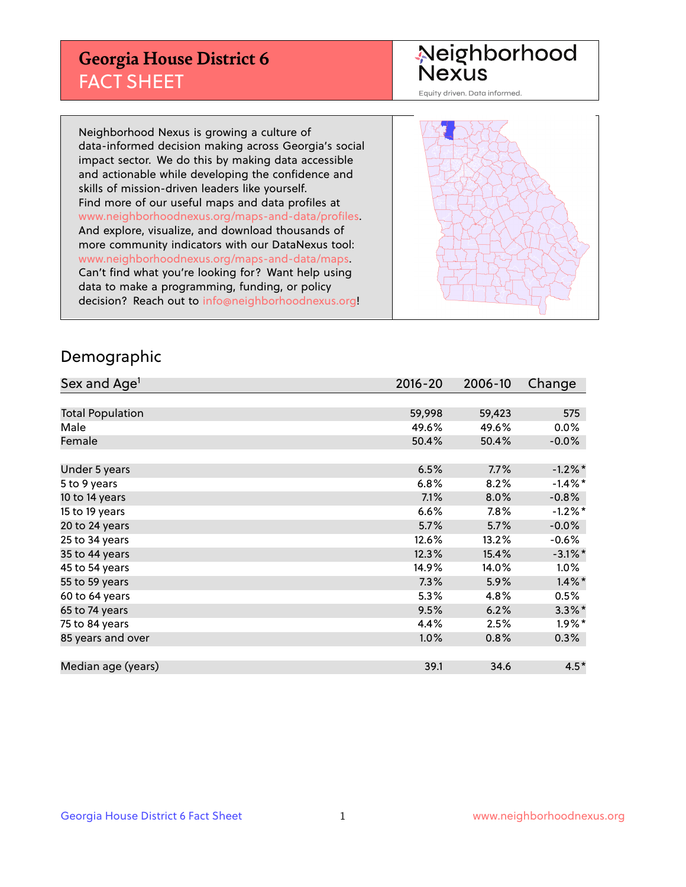## **Georgia House District 6** FACT SHEET

# Neighborhood<br>Nexus

Equity driven. Data informed.

Neighborhood Nexus is growing a culture of data-informed decision making across Georgia's social impact sector. We do this by making data accessible and actionable while developing the confidence and skills of mission-driven leaders like yourself. Find more of our useful maps and data profiles at www.neighborhoodnexus.org/maps-and-data/profiles. And explore, visualize, and download thousands of more community indicators with our DataNexus tool: www.neighborhoodnexus.org/maps-and-data/maps. Can't find what you're looking for? Want help using data to make a programming, funding, or policy decision? Reach out to [info@neighborhoodnexus.org!](mailto:info@neighborhoodnexus.org)



### Demographic

| Sex and Age <sup>1</sup> | $2016 - 20$ | 2006-10 | Change     |
|--------------------------|-------------|---------|------------|
|                          |             |         |            |
| <b>Total Population</b>  | 59,998      | 59,423  | 575        |
| Male                     | 49.6%       | 49.6%   | $0.0\%$    |
| Female                   | 50.4%       | 50.4%   | $-0.0\%$   |
|                          |             |         |            |
| Under 5 years            | 6.5%        | 7.7%    | $-1.2\%$ * |
| 5 to 9 years             | 6.8%        | 8.2%    | $-1.4\%$ * |
| 10 to 14 years           | 7.1%        | 8.0%    | $-0.8%$    |
| 15 to 19 years           | 6.6%        | 7.8%    | $-1.2%$ *  |
| 20 to 24 years           | 5.7%        | 5.7%    | $-0.0%$    |
| 25 to 34 years           | 12.6%       | 13.2%   | $-0.6\%$   |
| 35 to 44 years           | 12.3%       | 15.4%   | $-3.1\%$ * |
| 45 to 54 years           | 14.9%       | 14.0%   | 1.0%       |
| 55 to 59 years           | 7.3%        | 5.9%    | $1.4\%$ *  |
| 60 to 64 years           | 5.3%        | 4.8%    | 0.5%       |
| 65 to 74 years           | 9.5%        | 6.2%    | $3.3\%$ *  |
| 75 to 84 years           | 4.4%        | 2.5%    | $1.9\%$ *  |
| 85 years and over        | 1.0%        | 0.8%    | 0.3%       |
|                          |             |         |            |
| Median age (years)       | 39.1        | 34.6    | $4.5*$     |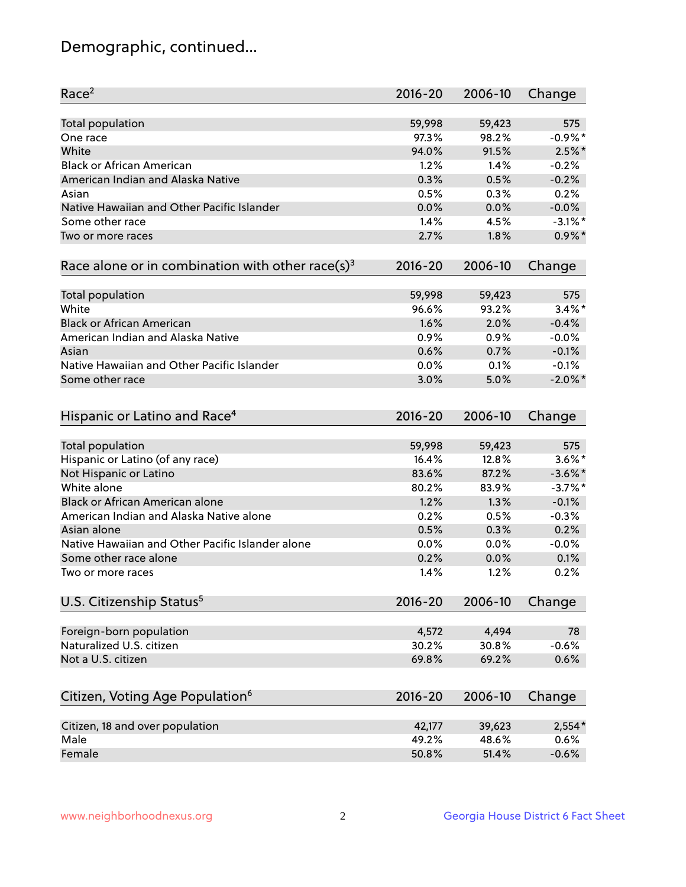## Demographic, continued...

| Race <sup>2</sup>                                            | $2016 - 20$ | 2006-10 | Change     |
|--------------------------------------------------------------|-------------|---------|------------|
| <b>Total population</b>                                      | 59,998      | 59,423  | 575        |
| One race                                                     | 97.3%       | 98.2%   | $-0.9%$ *  |
| White                                                        | 94.0%       | 91.5%   | $2.5%$ *   |
| <b>Black or African American</b>                             | 1.2%        | 1.4%    | $-0.2%$    |
| American Indian and Alaska Native                            | 0.3%        | 0.5%    | $-0.2%$    |
| Asian                                                        | 0.5%        | 0.3%    | 0.2%       |
| Native Hawaiian and Other Pacific Islander                   | 0.0%        | 0.0%    | $-0.0%$    |
| Some other race                                              | 1.4%        | 4.5%    | $-3.1\%$ * |
| Two or more races                                            | 2.7%        | 1.8%    | $0.9\%$ *  |
| Race alone or in combination with other race(s) <sup>3</sup> | $2016 - 20$ | 2006-10 | Change     |
| Total population                                             | 59,998      | 59,423  | 575        |
| White                                                        | 96.6%       | 93.2%   | $3.4\%$ *  |
| <b>Black or African American</b>                             | 1.6%        | 2.0%    | $-0.4%$    |
| American Indian and Alaska Native                            | 0.9%        | 0.9%    | $-0.0%$    |
| Asian                                                        | 0.6%        | 0.7%    | $-0.1%$    |
| Native Hawaiian and Other Pacific Islander                   | 0.0%        | 0.1%    | $-0.1%$    |
| Some other race                                              | 3.0%        | 5.0%    | $-2.0\%$ * |
| Hispanic or Latino and Race <sup>4</sup>                     | $2016 - 20$ | 2006-10 | Change     |
| Total population                                             | 59,998      | 59,423  | 575        |
| Hispanic or Latino (of any race)                             | 16.4%       | 12.8%   | $3.6\%$ *  |
| Not Hispanic or Latino                                       | 83.6%       | 87.2%   | $-3.6\%$ * |
| White alone                                                  | 80.2%       | 83.9%   | $-3.7\%$ * |
| Black or African American alone                              | 1.2%        | 1.3%    | $-0.1%$    |
| American Indian and Alaska Native alone                      | 0.2%        | 0.5%    | $-0.3%$    |
| Asian alone                                                  | 0.5%        | 0.3%    | 0.2%       |
| Native Hawaiian and Other Pacific Islander alone             | 0.0%        | 0.0%    | $-0.0%$    |
| Some other race alone                                        | 0.2%        | 0.0%    | 0.1%       |
| Two or more races                                            | 1.4%        | 1.2%    | 0.2%       |
| U.S. Citizenship Status <sup>5</sup>                         | $2016 - 20$ | 2006-10 | Change     |
| Foreign-born population                                      | 4,572       | 4,494   | 78         |
| Naturalized U.S. citizen                                     | 30.2%       | 30.8%   | $-0.6%$    |
| Not a U.S. citizen                                           | 69.8%       | 69.2%   | 0.6%       |
|                                                              |             |         |            |
| Citizen, Voting Age Population <sup>6</sup>                  | $2016 - 20$ | 2006-10 | Change     |
| Citizen, 18 and over population                              | 42,177      | 39,623  | $2,554*$   |
| Male                                                         | 49.2%       | 48.6%   | 0.6%       |
| Female                                                       | 50.8%       | 51.4%   | $-0.6%$    |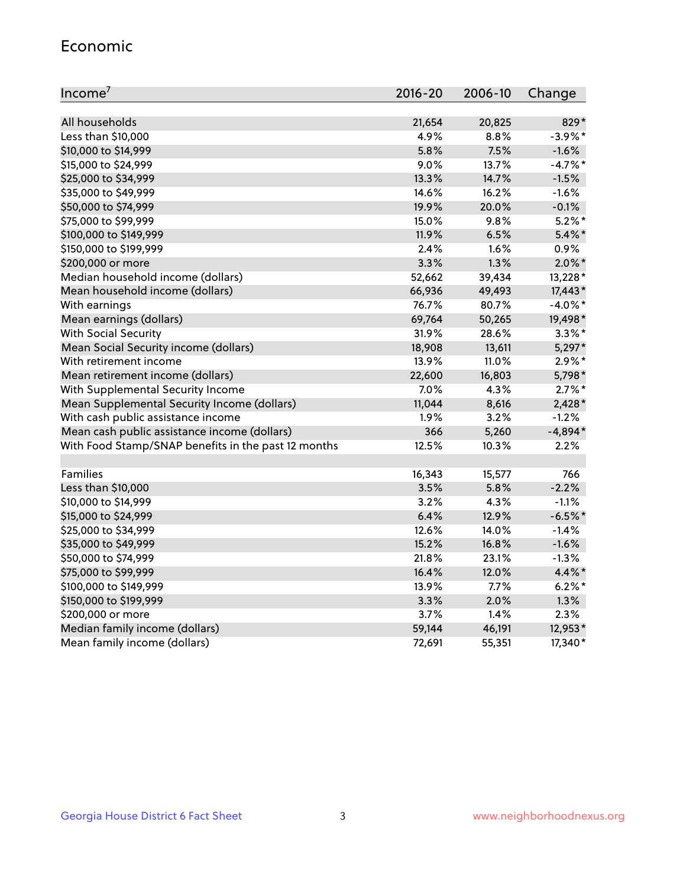#### Economic

| Income <sup>7</sup>                                 | $2016 - 20$ | 2006-10 | Change     |
|-----------------------------------------------------|-------------|---------|------------|
|                                                     |             |         |            |
| All households                                      | 21,654      | 20,825  | 829*       |
| Less than \$10,000                                  | 4.9%        | 8.8%    | $-3.9\%$ * |
| \$10,000 to \$14,999                                | 5.8%        | 7.5%    | $-1.6%$    |
| \$15,000 to \$24,999                                | 9.0%        | 13.7%   | $-4.7%$ *  |
| \$25,000 to \$34,999                                | 13.3%       | 14.7%   | $-1.5%$    |
| \$35,000 to \$49,999                                | 14.6%       | 16.2%   | $-1.6%$    |
| \$50,000 to \$74,999                                | 19.9%       | 20.0%   | $-0.1%$    |
| \$75,000 to \$99,999                                | 15.0%       | 9.8%    | $5.2\%$ *  |
| \$100,000 to \$149,999                              | 11.9%       | 6.5%    | $5.4\%$ *  |
| \$150,000 to \$199,999                              | 2.4%        | 1.6%    | $0.9\%$    |
| \$200,000 or more                                   | 3.3%        | 1.3%    | $2.0\%$ *  |
| Median household income (dollars)                   | 52,662      | 39,434  | 13,228*    |
| Mean household income (dollars)                     | 66,936      | 49,493  | $17,443*$  |
| With earnings                                       | 76.7%       | 80.7%   | $-4.0\%$ * |
| Mean earnings (dollars)                             | 69,764      | 50,265  | 19,498*    |
| <b>With Social Security</b>                         | 31.9%       | 28.6%   | $3.3\%$ *  |
| Mean Social Security income (dollars)               | 18,908      | 13,611  | 5,297*     |
| With retirement income                              | 13.9%       | 11.0%   | $2.9\%*$   |
| Mean retirement income (dollars)                    | 22,600      | 16,803  | 5,798*     |
| With Supplemental Security Income                   | 7.0%        | 4.3%    | $2.7\%$ *  |
| Mean Supplemental Security Income (dollars)         | 11,044      | 8,616   | 2,428*     |
| With cash public assistance income                  | 1.9%        | 3.2%    | $-1.2%$    |
| Mean cash public assistance income (dollars)        | 366         | 5,260   | $-4,894*$  |
| With Food Stamp/SNAP benefits in the past 12 months | 12.5%       | 10.3%   | 2.2%       |
|                                                     |             |         |            |
| Families                                            | 16,343      | 15,577  | 766        |
| Less than \$10,000                                  | 3.5%        | 5.8%    | $-2.2%$    |
| \$10,000 to \$14,999                                | 3.2%        | 4.3%    | $-1.1%$    |
| \$15,000 to \$24,999                                | 6.4%        | 12.9%   | $-6.5%$ *  |
| \$25,000 to \$34,999                                | 12.6%       | 14.0%   | $-1.4%$    |
| \$35,000 to \$49,999                                | 15.2%       | 16.8%   | $-1.6%$    |
| \$50,000 to \$74,999                                | 21.8%       | 23.1%   | $-1.3%$    |
| \$75,000 to \$99,999                                | 16.4%       | 12.0%   | 4.4%*      |
| \$100,000 to \$149,999                              | 13.9%       | 7.7%    | $6.2%$ *   |
| \$150,000 to \$199,999                              | 3.3%        | 2.0%    | 1.3%       |
| \$200,000 or more                                   | 3.7%        | 1.4%    | 2.3%       |
| Median family income (dollars)                      | 59,144      | 46,191  | 12,953*    |
| Mean family income (dollars)                        | 72,691      | 55,351  | 17,340*    |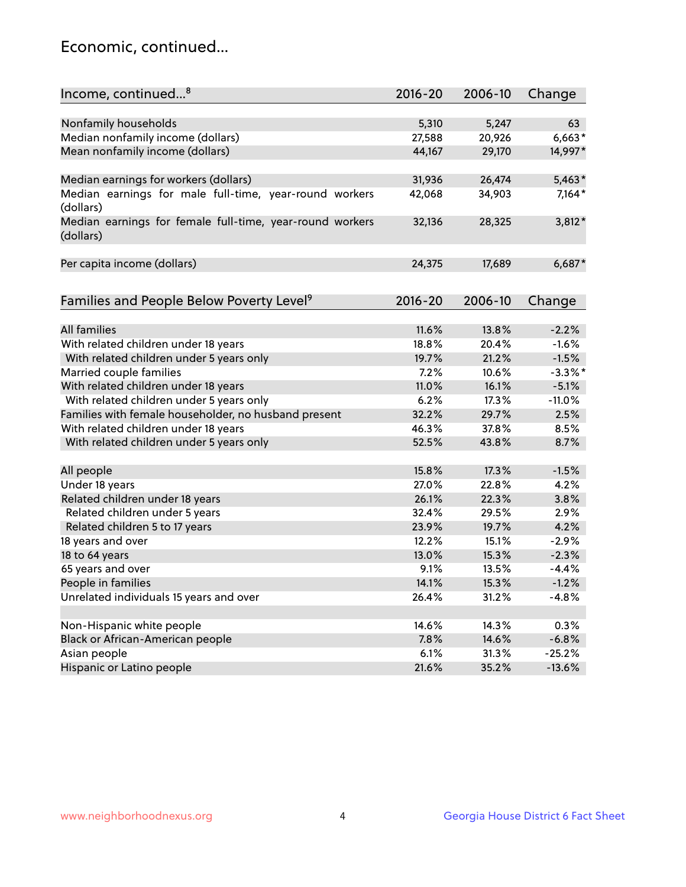## Economic, continued...

| Nonfamily households<br>5,247<br>5,310<br>63<br>Median nonfamily income (dollars)<br>$6,663*$<br>27,588<br>20,926<br>Mean nonfamily income (dollars)<br>44,167<br>29,170<br>14,997*<br>$5,463*$<br>Median earnings for workers (dollars)<br>31,936<br>26,474<br>Median earnings for male full-time, year-round workers<br>$7,164*$<br>42,068<br>34,903<br>(dollars)<br>3,812*<br>Median earnings for female full-time, year-round workers<br>32,136<br>28,325<br>(dollars)<br>Per capita income (dollars)<br>24,375<br>17,689<br>$6,687*$ |
|-------------------------------------------------------------------------------------------------------------------------------------------------------------------------------------------------------------------------------------------------------------------------------------------------------------------------------------------------------------------------------------------------------------------------------------------------------------------------------------------------------------------------------------------|
|                                                                                                                                                                                                                                                                                                                                                                                                                                                                                                                                           |
|                                                                                                                                                                                                                                                                                                                                                                                                                                                                                                                                           |
|                                                                                                                                                                                                                                                                                                                                                                                                                                                                                                                                           |
|                                                                                                                                                                                                                                                                                                                                                                                                                                                                                                                                           |
|                                                                                                                                                                                                                                                                                                                                                                                                                                                                                                                                           |
|                                                                                                                                                                                                                                                                                                                                                                                                                                                                                                                                           |
|                                                                                                                                                                                                                                                                                                                                                                                                                                                                                                                                           |
|                                                                                                                                                                                                                                                                                                                                                                                                                                                                                                                                           |
| Families and People Below Poverty Level <sup>9</sup><br>$2016 - 20$<br>2006-10<br>Change                                                                                                                                                                                                                                                                                                                                                                                                                                                  |
|                                                                                                                                                                                                                                                                                                                                                                                                                                                                                                                                           |
| <b>All families</b><br>11.6%<br>13.8%<br>$-2.2%$                                                                                                                                                                                                                                                                                                                                                                                                                                                                                          |
| With related children under 18 years<br>18.8%<br>20.4%<br>$-1.6%$                                                                                                                                                                                                                                                                                                                                                                                                                                                                         |
| With related children under 5 years only<br>21.2%<br>$-1.5%$<br>19.7%                                                                                                                                                                                                                                                                                                                                                                                                                                                                     |
| 7.2%<br>$-3.3\%$ *<br>Married couple families<br>10.6%                                                                                                                                                                                                                                                                                                                                                                                                                                                                                    |
| With related children under 18 years<br>$-5.1%$<br>11.0%<br>16.1%                                                                                                                                                                                                                                                                                                                                                                                                                                                                         |
| With related children under 5 years only<br>6.2%<br>17.3%<br>$-11.0%$                                                                                                                                                                                                                                                                                                                                                                                                                                                                     |
| Families with female householder, no husband present<br>29.7%<br>32.2%<br>2.5%                                                                                                                                                                                                                                                                                                                                                                                                                                                            |
| With related children under 18 years<br>46.3%<br>37.8%<br>8.5%                                                                                                                                                                                                                                                                                                                                                                                                                                                                            |
| With related children under 5 years only<br>52.5%<br>43.8%<br>8.7%                                                                                                                                                                                                                                                                                                                                                                                                                                                                        |
| 15.8%<br>17.3%<br>$-1.5%$                                                                                                                                                                                                                                                                                                                                                                                                                                                                                                                 |
| All people<br>Under 18 years<br>4.2%<br>27.0%<br>22.8%                                                                                                                                                                                                                                                                                                                                                                                                                                                                                    |
| Related children under 18 years<br>26.1%<br>3.8%<br>22.3%                                                                                                                                                                                                                                                                                                                                                                                                                                                                                 |
| 32.4%<br>2.9%<br>Related children under 5 years<br>29.5%                                                                                                                                                                                                                                                                                                                                                                                                                                                                                  |
| 23.9%<br>4.2%<br>19.7%                                                                                                                                                                                                                                                                                                                                                                                                                                                                                                                    |
| Related children 5 to 17 years<br>$-2.9%$<br>12.2%<br>15.1%                                                                                                                                                                                                                                                                                                                                                                                                                                                                               |
| 18 years and over                                                                                                                                                                                                                                                                                                                                                                                                                                                                                                                         |
| $-2.3%$<br>18 to 64 years<br>13.0%<br>15.3%<br>9.1%                                                                                                                                                                                                                                                                                                                                                                                                                                                                                       |
| 65 years and over<br>13.5%<br>$-4.4%$                                                                                                                                                                                                                                                                                                                                                                                                                                                                                                     |
| People in families<br>14.1%<br>15.3%<br>$-1.2%$                                                                                                                                                                                                                                                                                                                                                                                                                                                                                           |
| Unrelated individuals 15 years and over<br>26.4%<br>31.2%<br>$-4.8%$                                                                                                                                                                                                                                                                                                                                                                                                                                                                      |
| Non-Hispanic white people<br>14.6%<br>14.3%<br>0.3%                                                                                                                                                                                                                                                                                                                                                                                                                                                                                       |
| Black or African-American people<br>$-6.8%$<br>7.8%<br>14.6%                                                                                                                                                                                                                                                                                                                                                                                                                                                                              |
| Asian people<br>6.1%<br>31.3%<br>$-25.2%$                                                                                                                                                                                                                                                                                                                                                                                                                                                                                                 |
| Hispanic or Latino people<br>21.6%<br>$-13.6%$<br>35.2%                                                                                                                                                                                                                                                                                                                                                                                                                                                                                   |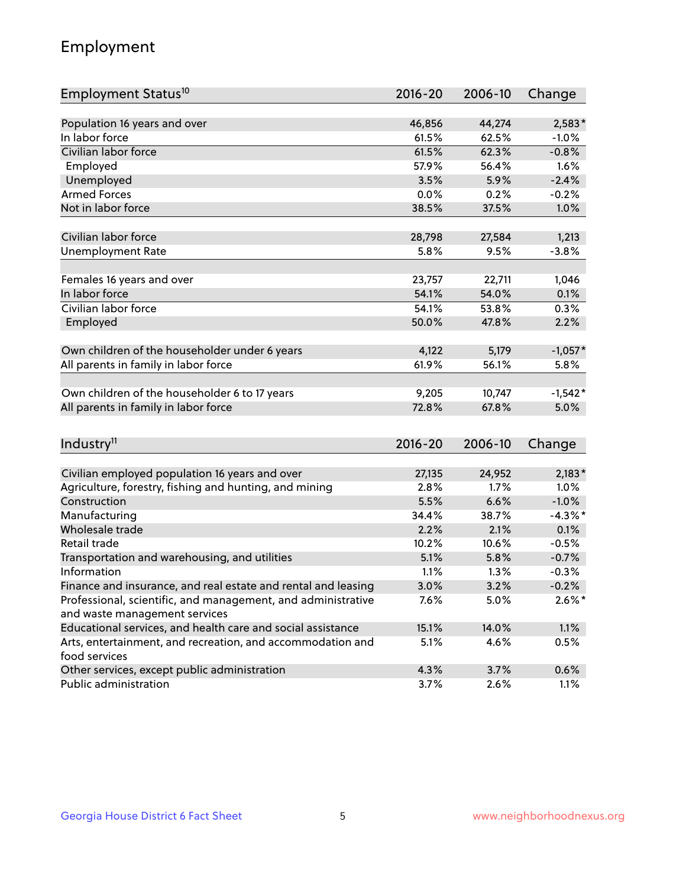## Employment

| Employment Status <sup>10</sup>                                             | $2016 - 20$ | 2006-10 | Change     |
|-----------------------------------------------------------------------------|-------------|---------|------------|
|                                                                             |             |         |            |
| Population 16 years and over                                                | 46,856      | 44,274  | $2,583*$   |
| In labor force                                                              | 61.5%       | 62.5%   | $-1.0%$    |
| Civilian labor force                                                        | 61.5%       | 62.3%   | $-0.8%$    |
| Employed                                                                    | 57.9%       | 56.4%   | 1.6%       |
| Unemployed                                                                  | 3.5%        | 5.9%    | $-2.4%$    |
| <b>Armed Forces</b>                                                         | 0.0%        | 0.2%    | $-0.2%$    |
| Not in labor force                                                          | 38.5%       | 37.5%   | 1.0%       |
|                                                                             |             |         |            |
| Civilian labor force                                                        | 28,798      | 27,584  | 1,213      |
| <b>Unemployment Rate</b>                                                    | 5.8%        | 9.5%    | $-3.8%$    |
| Females 16 years and over                                                   | 23,757      | 22,711  | 1,046      |
| In labor force                                                              | 54.1%       | 54.0%   | 0.1%       |
| Civilian labor force                                                        | 54.1%       | 53.8%   | 0.3%       |
| Employed                                                                    | 50.0%       | 47.8%   | 2.2%       |
|                                                                             |             |         |            |
| Own children of the householder under 6 years                               | 4,122       | 5,179   | $-1,057*$  |
| All parents in family in labor force                                        | 61.9%       | 56.1%   | 5.8%       |
|                                                                             |             |         |            |
| Own children of the householder 6 to 17 years                               | 9,205       | 10,747  | $-1,542*$  |
| All parents in family in labor force                                        | 72.8%       | 67.8%   | 5.0%       |
|                                                                             |             |         |            |
| Industry <sup>11</sup>                                                      | $2016 - 20$ | 2006-10 | Change     |
|                                                                             |             |         |            |
| Civilian employed population 16 years and over                              | 27,135      | 24,952  | $2,183*$   |
| Agriculture, forestry, fishing and hunting, and mining                      | 2.8%        | 1.7%    | 1.0%       |
| Construction                                                                | 5.5%        | 6.6%    | $-1.0%$    |
| Manufacturing                                                               | 34.4%       | 38.7%   | $-4.3\%$ * |
| Wholesale trade                                                             | 2.2%        | 2.1%    | 0.1%       |
| Retail trade                                                                | 10.2%       | 10.6%   | $-0.5%$    |
| Transportation and warehousing, and utilities                               | 5.1%        | 5.8%    | $-0.7%$    |
| Information                                                                 | 1.1%        | 1.3%    | $-0.3%$    |
| Finance and insurance, and real estate and rental and leasing               | 3.0%        | 3.2%    | $-0.2%$    |
| Professional, scientific, and management, and administrative                | 7.6%        | 5.0%    | $2.6\%$ *  |
| and waste management services                                               |             |         |            |
| Educational services, and health care and social assistance                 | 15.1%       | 14.0%   | 1.1%       |
| Arts, entertainment, and recreation, and accommodation and<br>food services | 5.1%        | 4.6%    | 0.5%       |
| Other services, except public administration                                | 4.3%        | 3.7%    | 0.6%       |
| Public administration                                                       | 3.7%        | 2.6%    | 1.1%       |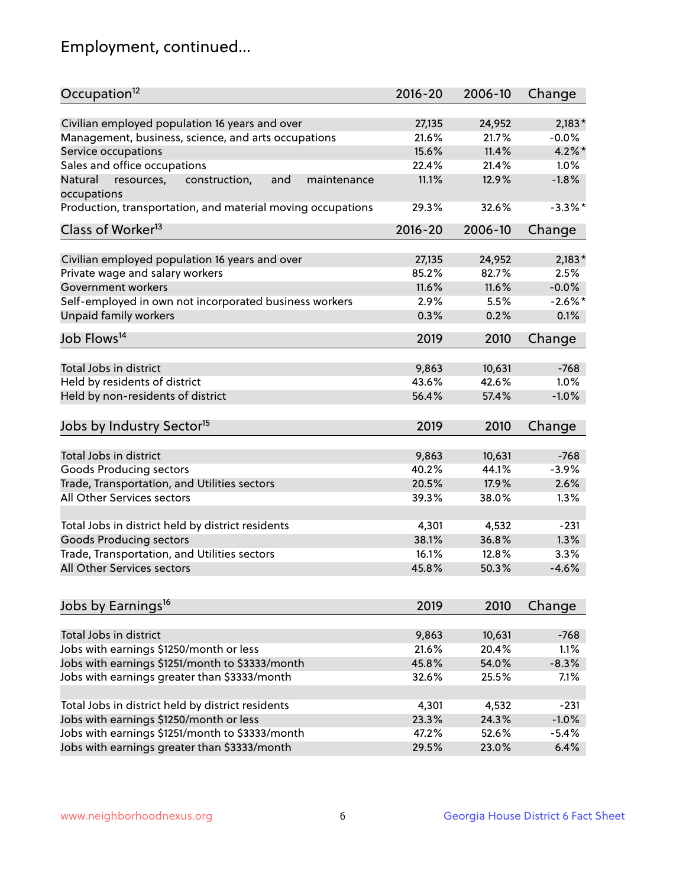## Employment, continued...

| Civilian employed population 16 years and over<br>$2,183*$<br>27,135<br>24,952<br>Management, business, science, and arts occupations<br>21.6%<br>21.7%<br>$-0.0%$<br>15.6%<br>11.4%<br>$4.2\%$ *<br>Service occupations<br>Sales and office occupations<br>22.4%<br>21.4%<br>1.0%<br>11.1%<br>$-1.8%$<br>Natural<br>and<br>12.9%<br>resources,<br>construction,<br>maintenance<br>$-3.3\%$ *<br>29.3%<br>32.6%<br>$2016 - 20$<br>2006-10<br>Change<br>Civilian employed population 16 years and over<br>27,135<br>24,952<br>$2,183*$<br>Private wage and salary workers<br>85.2%<br>82.7%<br>2.5%<br>11.6%<br>$-0.0%$<br>Government workers<br>11.6%<br>Self-employed in own not incorporated business workers<br>$-2.6\%$ *<br>2.9%<br>5.5%<br>Unpaid family workers<br>0.1%<br>0.3%<br>0.2%<br>2019<br>2010<br>Change<br>Total Jobs in district<br>9,863<br>10,631<br>$-768$<br>Held by residents of district<br>43.6%<br>42.6%<br>1.0%<br>Held by non-residents of district<br>$-1.0%$<br>56.4%<br>57.4%<br>2019<br>2010<br>Change<br>9,863<br>Total Jobs in district<br>10,631<br>$-768$<br>Goods Producing sectors<br>40.2%<br>44.1%<br>$-3.9%$<br>Trade, Transportation, and Utilities sectors<br>20.5%<br>17.9%<br>2.6%<br>All Other Services sectors<br>39.3%<br>38.0%<br>1.3%<br>Total Jobs in district held by district residents<br>4,301<br>4,532<br>$-231$<br><b>Goods Producing sectors</b><br>36.8%<br>1.3%<br>38.1%<br>Trade, Transportation, and Utilities sectors<br>3.3%<br>16.1%<br>12.8%<br>All Other Services sectors<br>$-4.6%$<br>45.8%<br>50.3%<br>2019<br>2010<br>Change<br>Total Jobs in district<br>9,863<br>$-768$<br>10,631<br>Jobs with earnings \$1250/month or less<br>21.6%<br>20.4%<br>1.1%<br>Jobs with earnings \$1251/month to \$3333/month<br>45.8%<br>54.0%<br>$-8.3%$<br>Jobs with earnings greater than \$3333/month<br>7.1%<br>32.6%<br>25.5% | Occupation <sup>12</sup>                                    | $2016 - 20$ | 2006-10 | Change |
|-------------------------------------------------------------------------------------------------------------------------------------------------------------------------------------------------------------------------------------------------------------------------------------------------------------------------------------------------------------------------------------------------------------------------------------------------------------------------------------------------------------------------------------------------------------------------------------------------------------------------------------------------------------------------------------------------------------------------------------------------------------------------------------------------------------------------------------------------------------------------------------------------------------------------------------------------------------------------------------------------------------------------------------------------------------------------------------------------------------------------------------------------------------------------------------------------------------------------------------------------------------------------------------------------------------------------------------------------------------------------------------------------------------------------------------------------------------------------------------------------------------------------------------------------------------------------------------------------------------------------------------------------------------------------------------------------------------------------------------------------------------------------------------------------------------------------------------------------------------------------------------------|-------------------------------------------------------------|-------------|---------|--------|
|                                                                                                                                                                                                                                                                                                                                                                                                                                                                                                                                                                                                                                                                                                                                                                                                                                                                                                                                                                                                                                                                                                                                                                                                                                                                                                                                                                                                                                                                                                                                                                                                                                                                                                                                                                                                                                                                                           |                                                             |             |         |        |
|                                                                                                                                                                                                                                                                                                                                                                                                                                                                                                                                                                                                                                                                                                                                                                                                                                                                                                                                                                                                                                                                                                                                                                                                                                                                                                                                                                                                                                                                                                                                                                                                                                                                                                                                                                                                                                                                                           |                                                             |             |         |        |
|                                                                                                                                                                                                                                                                                                                                                                                                                                                                                                                                                                                                                                                                                                                                                                                                                                                                                                                                                                                                                                                                                                                                                                                                                                                                                                                                                                                                                                                                                                                                                                                                                                                                                                                                                                                                                                                                                           |                                                             |             |         |        |
|                                                                                                                                                                                                                                                                                                                                                                                                                                                                                                                                                                                                                                                                                                                                                                                                                                                                                                                                                                                                                                                                                                                                                                                                                                                                                                                                                                                                                                                                                                                                                                                                                                                                                                                                                                                                                                                                                           |                                                             |             |         |        |
|                                                                                                                                                                                                                                                                                                                                                                                                                                                                                                                                                                                                                                                                                                                                                                                                                                                                                                                                                                                                                                                                                                                                                                                                                                                                                                                                                                                                                                                                                                                                                                                                                                                                                                                                                                                                                                                                                           |                                                             |             |         |        |
|                                                                                                                                                                                                                                                                                                                                                                                                                                                                                                                                                                                                                                                                                                                                                                                                                                                                                                                                                                                                                                                                                                                                                                                                                                                                                                                                                                                                                                                                                                                                                                                                                                                                                                                                                                                                                                                                                           | occupations                                                 |             |         |        |
|                                                                                                                                                                                                                                                                                                                                                                                                                                                                                                                                                                                                                                                                                                                                                                                                                                                                                                                                                                                                                                                                                                                                                                                                                                                                                                                                                                                                                                                                                                                                                                                                                                                                                                                                                                                                                                                                                           | Production, transportation, and material moving occupations |             |         |        |
|                                                                                                                                                                                                                                                                                                                                                                                                                                                                                                                                                                                                                                                                                                                                                                                                                                                                                                                                                                                                                                                                                                                                                                                                                                                                                                                                                                                                                                                                                                                                                                                                                                                                                                                                                                                                                                                                                           | Class of Worker <sup>13</sup>                               |             |         |        |
|                                                                                                                                                                                                                                                                                                                                                                                                                                                                                                                                                                                                                                                                                                                                                                                                                                                                                                                                                                                                                                                                                                                                                                                                                                                                                                                                                                                                                                                                                                                                                                                                                                                                                                                                                                                                                                                                                           |                                                             |             |         |        |
|                                                                                                                                                                                                                                                                                                                                                                                                                                                                                                                                                                                                                                                                                                                                                                                                                                                                                                                                                                                                                                                                                                                                                                                                                                                                                                                                                                                                                                                                                                                                                                                                                                                                                                                                                                                                                                                                                           |                                                             |             |         |        |
|                                                                                                                                                                                                                                                                                                                                                                                                                                                                                                                                                                                                                                                                                                                                                                                                                                                                                                                                                                                                                                                                                                                                                                                                                                                                                                                                                                                                                                                                                                                                                                                                                                                                                                                                                                                                                                                                                           |                                                             |             |         |        |
|                                                                                                                                                                                                                                                                                                                                                                                                                                                                                                                                                                                                                                                                                                                                                                                                                                                                                                                                                                                                                                                                                                                                                                                                                                                                                                                                                                                                                                                                                                                                                                                                                                                                                                                                                                                                                                                                                           |                                                             |             |         |        |
|                                                                                                                                                                                                                                                                                                                                                                                                                                                                                                                                                                                                                                                                                                                                                                                                                                                                                                                                                                                                                                                                                                                                                                                                                                                                                                                                                                                                                                                                                                                                                                                                                                                                                                                                                                                                                                                                                           |                                                             |             |         |        |
|                                                                                                                                                                                                                                                                                                                                                                                                                                                                                                                                                                                                                                                                                                                                                                                                                                                                                                                                                                                                                                                                                                                                                                                                                                                                                                                                                                                                                                                                                                                                                                                                                                                                                                                                                                                                                                                                                           |                                                             |             |         |        |
|                                                                                                                                                                                                                                                                                                                                                                                                                                                                                                                                                                                                                                                                                                                                                                                                                                                                                                                                                                                                                                                                                                                                                                                                                                                                                                                                                                                                                                                                                                                                                                                                                                                                                                                                                                                                                                                                                           | Job Flows <sup>14</sup>                                     |             |         |        |
|                                                                                                                                                                                                                                                                                                                                                                                                                                                                                                                                                                                                                                                                                                                                                                                                                                                                                                                                                                                                                                                                                                                                                                                                                                                                                                                                                                                                                                                                                                                                                                                                                                                                                                                                                                                                                                                                                           |                                                             |             |         |        |
|                                                                                                                                                                                                                                                                                                                                                                                                                                                                                                                                                                                                                                                                                                                                                                                                                                                                                                                                                                                                                                                                                                                                                                                                                                                                                                                                                                                                                                                                                                                                                                                                                                                                                                                                                                                                                                                                                           |                                                             |             |         |        |
|                                                                                                                                                                                                                                                                                                                                                                                                                                                                                                                                                                                                                                                                                                                                                                                                                                                                                                                                                                                                                                                                                                                                                                                                                                                                                                                                                                                                                                                                                                                                                                                                                                                                                                                                                                                                                                                                                           |                                                             |             |         |        |
|                                                                                                                                                                                                                                                                                                                                                                                                                                                                                                                                                                                                                                                                                                                                                                                                                                                                                                                                                                                                                                                                                                                                                                                                                                                                                                                                                                                                                                                                                                                                                                                                                                                                                                                                                                                                                                                                                           |                                                             |             |         |        |
|                                                                                                                                                                                                                                                                                                                                                                                                                                                                                                                                                                                                                                                                                                                                                                                                                                                                                                                                                                                                                                                                                                                                                                                                                                                                                                                                                                                                                                                                                                                                                                                                                                                                                                                                                                                                                                                                                           | Jobs by Industry Sector <sup>15</sup>                       |             |         |        |
|                                                                                                                                                                                                                                                                                                                                                                                                                                                                                                                                                                                                                                                                                                                                                                                                                                                                                                                                                                                                                                                                                                                                                                                                                                                                                                                                                                                                                                                                                                                                                                                                                                                                                                                                                                                                                                                                                           |                                                             |             |         |        |
|                                                                                                                                                                                                                                                                                                                                                                                                                                                                                                                                                                                                                                                                                                                                                                                                                                                                                                                                                                                                                                                                                                                                                                                                                                                                                                                                                                                                                                                                                                                                                                                                                                                                                                                                                                                                                                                                                           |                                                             |             |         |        |
|                                                                                                                                                                                                                                                                                                                                                                                                                                                                                                                                                                                                                                                                                                                                                                                                                                                                                                                                                                                                                                                                                                                                                                                                                                                                                                                                                                                                                                                                                                                                                                                                                                                                                                                                                                                                                                                                                           |                                                             |             |         |        |
|                                                                                                                                                                                                                                                                                                                                                                                                                                                                                                                                                                                                                                                                                                                                                                                                                                                                                                                                                                                                                                                                                                                                                                                                                                                                                                                                                                                                                                                                                                                                                                                                                                                                                                                                                                                                                                                                                           |                                                             |             |         |        |
|                                                                                                                                                                                                                                                                                                                                                                                                                                                                                                                                                                                                                                                                                                                                                                                                                                                                                                                                                                                                                                                                                                                                                                                                                                                                                                                                                                                                                                                                                                                                                                                                                                                                                                                                                                                                                                                                                           |                                                             |             |         |        |
|                                                                                                                                                                                                                                                                                                                                                                                                                                                                                                                                                                                                                                                                                                                                                                                                                                                                                                                                                                                                                                                                                                                                                                                                                                                                                                                                                                                                                                                                                                                                                                                                                                                                                                                                                                                                                                                                                           |                                                             |             |         |        |
|                                                                                                                                                                                                                                                                                                                                                                                                                                                                                                                                                                                                                                                                                                                                                                                                                                                                                                                                                                                                                                                                                                                                                                                                                                                                                                                                                                                                                                                                                                                                                                                                                                                                                                                                                                                                                                                                                           |                                                             |             |         |        |
|                                                                                                                                                                                                                                                                                                                                                                                                                                                                                                                                                                                                                                                                                                                                                                                                                                                                                                                                                                                                                                                                                                                                                                                                                                                                                                                                                                                                                                                                                                                                                                                                                                                                                                                                                                                                                                                                                           |                                                             |             |         |        |
|                                                                                                                                                                                                                                                                                                                                                                                                                                                                                                                                                                                                                                                                                                                                                                                                                                                                                                                                                                                                                                                                                                                                                                                                                                                                                                                                                                                                                                                                                                                                                                                                                                                                                                                                                                                                                                                                                           |                                                             |             |         |        |
|                                                                                                                                                                                                                                                                                                                                                                                                                                                                                                                                                                                                                                                                                                                                                                                                                                                                                                                                                                                                                                                                                                                                                                                                                                                                                                                                                                                                                                                                                                                                                                                                                                                                                                                                                                                                                                                                                           |                                                             |             |         |        |
|                                                                                                                                                                                                                                                                                                                                                                                                                                                                                                                                                                                                                                                                                                                                                                                                                                                                                                                                                                                                                                                                                                                                                                                                                                                                                                                                                                                                                                                                                                                                                                                                                                                                                                                                                                                                                                                                                           | Jobs by Earnings <sup>16</sup>                              |             |         |        |
|                                                                                                                                                                                                                                                                                                                                                                                                                                                                                                                                                                                                                                                                                                                                                                                                                                                                                                                                                                                                                                                                                                                                                                                                                                                                                                                                                                                                                                                                                                                                                                                                                                                                                                                                                                                                                                                                                           |                                                             |             |         |        |
|                                                                                                                                                                                                                                                                                                                                                                                                                                                                                                                                                                                                                                                                                                                                                                                                                                                                                                                                                                                                                                                                                                                                                                                                                                                                                                                                                                                                                                                                                                                                                                                                                                                                                                                                                                                                                                                                                           |                                                             |             |         |        |
|                                                                                                                                                                                                                                                                                                                                                                                                                                                                                                                                                                                                                                                                                                                                                                                                                                                                                                                                                                                                                                                                                                                                                                                                                                                                                                                                                                                                                                                                                                                                                                                                                                                                                                                                                                                                                                                                                           |                                                             |             |         |        |
|                                                                                                                                                                                                                                                                                                                                                                                                                                                                                                                                                                                                                                                                                                                                                                                                                                                                                                                                                                                                                                                                                                                                                                                                                                                                                                                                                                                                                                                                                                                                                                                                                                                                                                                                                                                                                                                                                           |                                                             |             |         |        |
|                                                                                                                                                                                                                                                                                                                                                                                                                                                                                                                                                                                                                                                                                                                                                                                                                                                                                                                                                                                                                                                                                                                                                                                                                                                                                                                                                                                                                                                                                                                                                                                                                                                                                                                                                                                                                                                                                           |                                                             |             |         |        |
|                                                                                                                                                                                                                                                                                                                                                                                                                                                                                                                                                                                                                                                                                                                                                                                                                                                                                                                                                                                                                                                                                                                                                                                                                                                                                                                                                                                                                                                                                                                                                                                                                                                                                                                                                                                                                                                                                           | Total Jobs in district held by district residents           | 4,301       | 4,532   | $-231$ |
| 24.3%<br>$-1.0%$<br>23.3%                                                                                                                                                                                                                                                                                                                                                                                                                                                                                                                                                                                                                                                                                                                                                                                                                                                                                                                                                                                                                                                                                                                                                                                                                                                                                                                                                                                                                                                                                                                                                                                                                                                                                                                                                                                                                                                                 | Jobs with earnings \$1250/month or less                     |             |         |        |
| 47.2%<br>52.6%<br>$-5.4%$                                                                                                                                                                                                                                                                                                                                                                                                                                                                                                                                                                                                                                                                                                                                                                                                                                                                                                                                                                                                                                                                                                                                                                                                                                                                                                                                                                                                                                                                                                                                                                                                                                                                                                                                                                                                                                                                 | Jobs with earnings \$1251/month to \$3333/month             |             |         |        |
| 6.4%<br>29.5%<br>23.0%                                                                                                                                                                                                                                                                                                                                                                                                                                                                                                                                                                                                                                                                                                                                                                                                                                                                                                                                                                                                                                                                                                                                                                                                                                                                                                                                                                                                                                                                                                                                                                                                                                                                                                                                                                                                                                                                    | Jobs with earnings greater than \$3333/month                |             |         |        |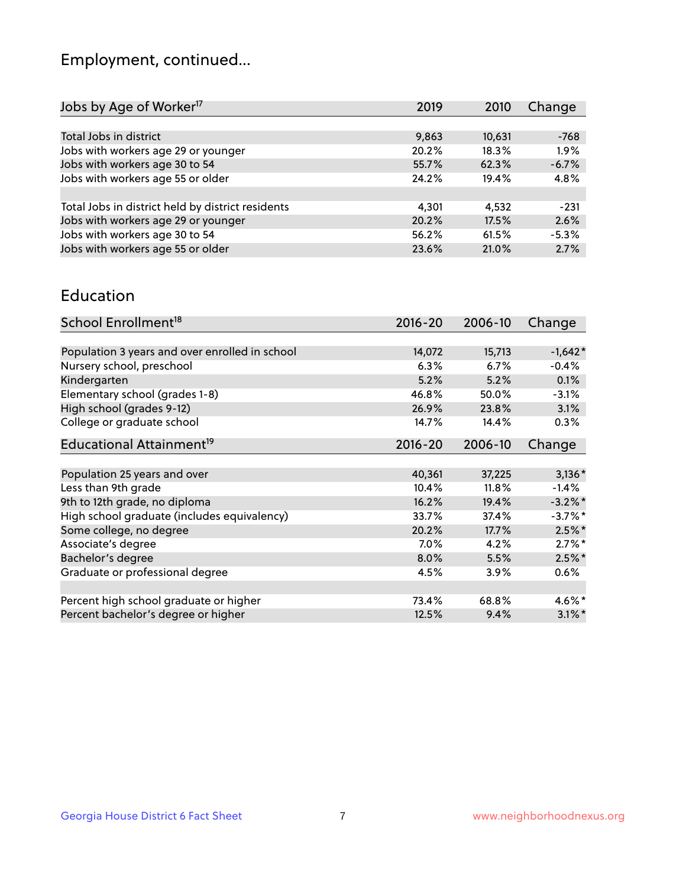## Employment, continued...

| Jobs by Age of Worker <sup>17</sup>               | 2019  | 2010   | Change  |
|---------------------------------------------------|-------|--------|---------|
|                                                   |       |        |         |
| Total Jobs in district                            | 9,863 | 10,631 | $-768$  |
| Jobs with workers age 29 or younger               | 20.2% | 18.3%  | 1.9%    |
| Jobs with workers age 30 to 54                    | 55.7% | 62.3%  | $-6.7%$ |
| Jobs with workers age 55 or older                 | 24.2% | 19.4%  | 4.8%    |
|                                                   |       |        |         |
| Total Jobs in district held by district residents | 4,301 | 4,532  | $-231$  |
| Jobs with workers age 29 or younger               | 20.2% | 17.5%  | 2.6%    |
| Jobs with workers age 30 to 54                    | 56.2% | 61.5%  | $-5.3%$ |
| Jobs with workers age 55 or older                 | 23.6% | 21.0%  | 2.7%    |

#### Education

| School Enrollment <sup>18</sup>                | $2016 - 20$ | 2006-10  | Change     |
|------------------------------------------------|-------------|----------|------------|
|                                                |             |          |            |
| Population 3 years and over enrolled in school | 14,072      | 15,713   | $-1,642*$  |
| Nursery school, preschool                      | 6.3%        | 6.7%     | $-0.4%$    |
| Kindergarten                                   | 5.2%        | 5.2%     | 0.1%       |
| Elementary school (grades 1-8)                 | 46.8%       | 50.0%    | $-3.1%$    |
| High school (grades 9-12)                      | 26.9%       | 23.8%    | 3.1%       |
| College or graduate school                     | 14.7%       | 14.4%    | 0.3%       |
| Educational Attainment <sup>19</sup>           | $2016 - 20$ | 2006-10  | Change     |
|                                                |             |          |            |
| Population 25 years and over                   | 40,361      | 37,225   | $3,136*$   |
| Less than 9th grade                            | 10.4%       | $11.8\%$ | $-1.4%$    |
| 9th to 12th grade, no diploma                  | 16.2%       | 19.4%    | $-3.2\%$ * |
| High school graduate (includes equivalency)    | 33.7%       | 37.4%    | $-3.7%$ *  |
| Some college, no degree                        | 20.2%       | 17.7%    | $2.5\%$ *  |
| Associate's degree                             | 7.0%        | 4.2%     | $2.7\%$ *  |
| Bachelor's degree                              | 8.0%        | 5.5%     | $2.5\%$ *  |
| Graduate or professional degree                | 4.5%        | $3.9\%$  | 0.6%       |
|                                                |             |          |            |
| Percent high school graduate or higher         | 73.4%       | 68.8%    | 4.6%*      |
| Percent bachelor's degree or higher            | 12.5%       | 9.4%     | $3.1\%$ *  |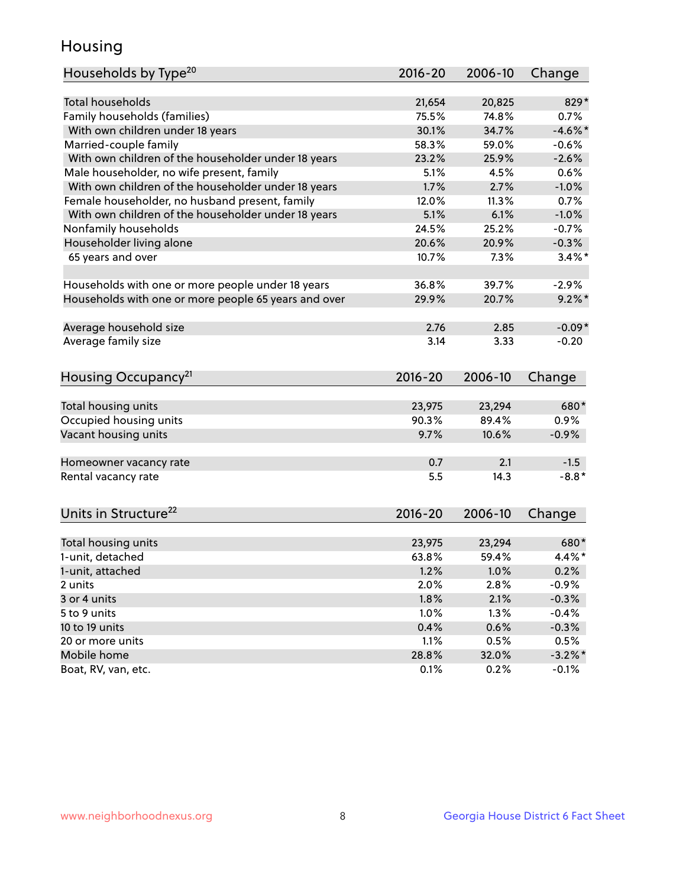## Housing

| Households by Type <sup>20</sup>                     | 2016-20 | 2006-10 | Change     |
|------------------------------------------------------|---------|---------|------------|
|                                                      |         |         |            |
| <b>Total households</b>                              | 21,654  | 20,825  | 829*       |
| Family households (families)                         | 75.5%   | 74.8%   | 0.7%       |
| With own children under 18 years                     | 30.1%   | 34.7%   | $-4.6\%$ * |
| Married-couple family                                | 58.3%   | 59.0%   | $-0.6%$    |
| With own children of the householder under 18 years  | 23.2%   | 25.9%   | $-2.6%$    |
| Male householder, no wife present, family            | 5.1%    | 4.5%    | 0.6%       |
| With own children of the householder under 18 years  | 1.7%    | 2.7%    | $-1.0%$    |
| Female householder, no husband present, family       | 12.0%   | 11.3%   | 0.7%       |
| With own children of the householder under 18 years  | 5.1%    | 6.1%    | $-1.0%$    |
| Nonfamily households                                 | 24.5%   | 25.2%   | $-0.7%$    |
| Householder living alone                             | 20.6%   | 20.9%   | $-0.3%$    |
| 65 years and over                                    | 10.7%   | 7.3%    | $3.4\%$ *  |
|                                                      |         |         |            |
| Households with one or more people under 18 years    | 36.8%   | 39.7%   | $-2.9%$    |
| Households with one or more people 65 years and over | 29.9%   | 20.7%   | $9.2\%$ *  |
|                                                      |         |         |            |
| Average household size                               | 2.76    | 2.85    | $-0.09*$   |
| Average family size                                  | 3.14    | 3.33    | $-0.20$    |
|                                                      |         |         |            |
| Housing Occupancy <sup>21</sup>                      | 2016-20 | 2006-10 | Change     |
|                                                      |         |         |            |
| Total housing units                                  | 23,975  | 23,294  | 680*       |
| Occupied housing units                               | 90.3%   | 89.4%   | 0.9%       |
| Vacant housing units                                 | 9.7%    | 10.6%   | $-0.9%$    |
| Homeowner vacancy rate                               | 0.7     | 2.1     | $-1.5$     |
| Rental vacancy rate                                  | 5.5     | 14.3    | $-8.8*$    |
|                                                      |         |         |            |
| Units in Structure <sup>22</sup>                     | 2016-20 | 2006-10 | Change     |
|                                                      |         |         |            |
| Total housing units                                  | 23,975  | 23,294  | 680*       |
| 1-unit, detached                                     | 63.8%   | 59.4%   | $4.4\%$ *  |
| 1-unit, attached                                     | 1.2%    | 1.0%    | 0.2%       |
| 2 units                                              | 2.0%    | 2.8%    | $-0.9%$    |
|                                                      |         |         |            |
| 3 or 4 units                                         | 1.8%    | 2.1%    | $-0.3%$    |
| 5 to 9 units                                         | 1.0%    | 1.3%    | $-0.4%$    |
| 10 to 19 units                                       | 0.4%    | 0.6%    | $-0.3%$    |
| 20 or more units                                     | 1.1%    | 0.5%    | 0.5%       |
| Mobile home                                          | 28.8%   | 32.0%   | $-3.2\%$ * |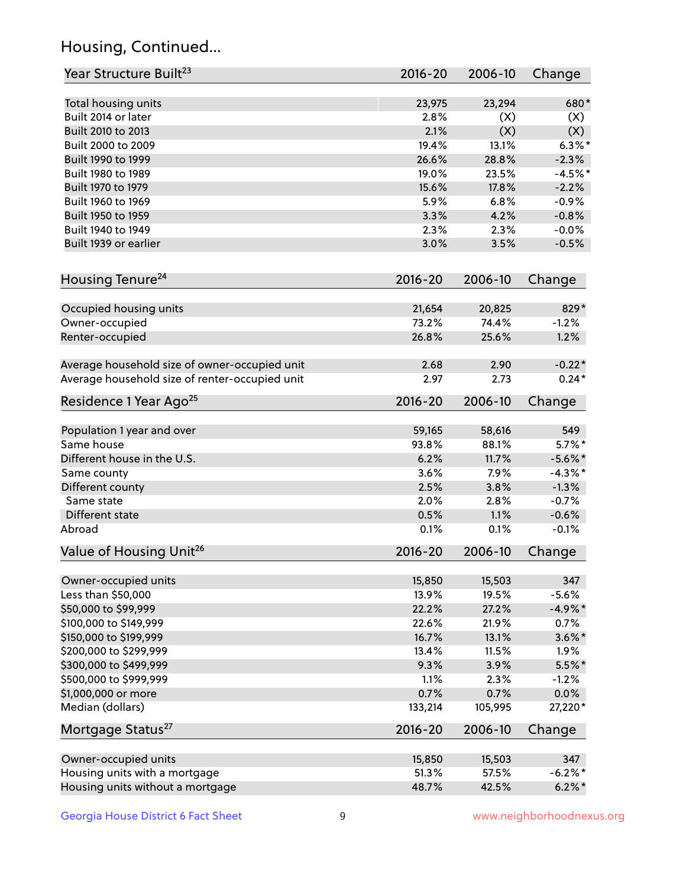## Housing, Continued...

| Year Structure Built <sup>23</sup>             | 2016-20     | 2006-10 | Change     |
|------------------------------------------------|-------------|---------|------------|
| Total housing units                            | 23,975      | 23,294  | 680*       |
| Built 2014 or later                            | 2.8%        | (X)     | (X)        |
| Built 2010 to 2013                             | 2.1%        | (X)     | (X)        |
| Built 2000 to 2009                             | 19.4%       | 13.1%   | $6.3\%$ *  |
| Built 1990 to 1999                             | 26.6%       | 28.8%   | $-2.3%$    |
| Built 1980 to 1989                             | 19.0%       | 23.5%   | $-4.5%$    |
| Built 1970 to 1979                             | 15.6%       | 17.8%   | $-2.2%$    |
| Built 1960 to 1969                             | 5.9%        | 6.8%    | $-0.9%$    |
| Built 1950 to 1959                             | 3.3%        | 4.2%    | $-0.8%$    |
| Built 1940 to 1949                             | 2.3%        | 2.3%    | $-0.0%$    |
| Built 1939 or earlier                          | 3.0%        | 3.5%    | $-0.5%$    |
| Housing Tenure <sup>24</sup>                   | $2016 - 20$ | 2006-10 | Change     |
| Occupied housing units                         | 21,654      | 20,825  | 829*       |
| Owner-occupied                                 | 73.2%       | 74.4%   | $-1.2%$    |
| Renter-occupied                                | 26.8%       | 25.6%   | 1.2%       |
| Average household size of owner-occupied unit  | 2.68        | 2.90    | $-0.22*$   |
| Average household size of renter-occupied unit | 2.97        | 2.73    | $0.24*$    |
| Residence 1 Year Ago <sup>25</sup>             | $2016 - 20$ | 2006-10 | Change     |
| Population 1 year and over                     | 59,165      | 58,616  | 549        |
| Same house                                     | 93.8%       | 88.1%   | $5.7\%$ *  |
| Different house in the U.S.                    | 6.2%        | 11.7%   | $-5.6\%$ * |
| Same county                                    | 3.6%        | 7.9%    | $-4.3\%$ * |
| Different county                               | 2.5%        | 3.8%    | $-1.3%$    |
| Same state                                     | 2.0%        | 2.8%    | $-0.7%$    |
| Different state                                | 0.5%        | 1.1%    | $-0.6%$    |
| Abroad                                         | 0.1%        | 0.1%    | $-0.1%$    |
| Value of Housing Unit <sup>26</sup>            | $2016 - 20$ | 2006-10 | Change     |
| Owner-occupied units                           | 15,850      | 15,503  | 347        |
| Less than \$50,000                             | 13.9%       | 19.5%   | $-5.6%$    |
| \$50,000 to \$99,999                           | 22.2%       | 27.2%   | $-4.9%$ *  |
| \$100,000 to \$149,999                         | 22.6%       | 21.9%   | 0.7%       |
| \$150,000 to \$199,999                         | 16.7%       | 13.1%   | $3.6\%$ *  |
| \$200,000 to \$299,999                         | 13.4%       | 11.5%   | 1.9%       |
| \$300,000 to \$499,999                         | 9.3%        | 3.9%    | $5.5\%$ *  |
| \$500,000 to \$999,999                         | 1.1%        | 2.3%    | $-1.2%$    |
| \$1,000,000 or more                            | 0.7%        | 0.7%    | 0.0%       |
| Median (dollars)                               | 133,214     | 105,995 | 27,220*    |
| Mortgage Status <sup>27</sup>                  | $2016 - 20$ | 2006-10 | Change     |
| Owner-occupied units                           | 15,850      | 15,503  | 347        |
| Housing units with a mortgage                  | 51.3%       | 57.5%   | $-6.2\%$ * |
| Housing units without a mortgage               | 48.7%       | 42.5%   | $6.2\% *$  |
|                                                |             |         |            |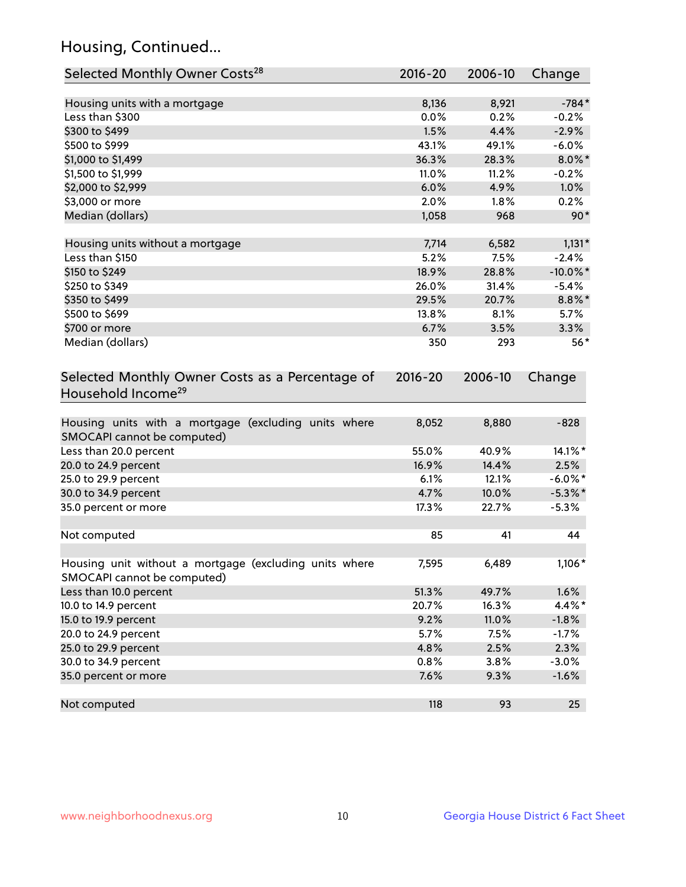## Housing, Continued...

| Selected Monthly Owner Costs <sup>28</sup>                                            | 2016-20     | 2006-10 | Change      |
|---------------------------------------------------------------------------------------|-------------|---------|-------------|
| Housing units with a mortgage                                                         | 8,136       | 8,921   | $-784*$     |
| Less than \$300                                                                       | 0.0%        | 0.2%    | $-0.2%$     |
| \$300 to \$499                                                                        | 1.5%        | 4.4%    | $-2.9%$     |
| \$500 to \$999                                                                        | 43.1%       | 49.1%   | $-6.0%$     |
| \$1,000 to \$1,499                                                                    | 36.3%       | 28.3%   | $8.0\%$ *   |
| \$1,500 to \$1,999                                                                    | 11.0%       | 11.2%   | $-0.2%$     |
| \$2,000 to \$2,999                                                                    | 6.0%        | 4.9%    | 1.0%        |
| \$3,000 or more                                                                       | 2.0%        | 1.8%    | 0.2%        |
| Median (dollars)                                                                      | 1,058       | 968     | $90*$       |
| Housing units without a mortgage                                                      | 7,714       | 6,582   | $1,131*$    |
| Less than \$150                                                                       | 5.2%        | 7.5%    | $-2.4%$     |
| \$150 to \$249                                                                        | 18.9%       | 28.8%   | $-10.0\%$ * |
| \$250 to \$349                                                                        | 26.0%       | 31.4%   | $-5.4%$     |
| \$350 to \$499                                                                        | 29.5%       | 20.7%   | $8.8\%$ *   |
| \$500 to \$699                                                                        | 13.8%       | 8.1%    | 5.7%        |
| \$700 or more                                                                         | 6.7%        | 3.5%    | 3.3%        |
| Median (dollars)                                                                      | 350         | 293     | $56*$       |
| Selected Monthly Owner Costs as a Percentage of<br>Household Income <sup>29</sup>     | $2016 - 20$ | 2006-10 | Change      |
| Housing units with a mortgage (excluding units where<br>SMOCAPI cannot be computed)   | 8,052       | 8,880   | $-828$      |
| Less than 20.0 percent                                                                | 55.0%       | 40.9%   | 14.1%*      |
| 20.0 to 24.9 percent                                                                  | 16.9%       | 14.4%   | 2.5%        |
| 25.0 to 29.9 percent                                                                  | 6.1%        | 12.1%   | $-6.0\%$ *  |
| 30.0 to 34.9 percent                                                                  | 4.7%        | 10.0%   | $-5.3\%$ *  |
| 35.0 percent or more                                                                  | 17.3%       | 22.7%   | $-5.3%$     |
| Not computed                                                                          | 85          | 41      | 44          |
| Housing unit without a mortgage (excluding units where<br>SMOCAPI cannot be computed) | 7,595       | 6,489   | $1,106*$    |
| Less than 10.0 percent                                                                | 51.3%       | 49.7%   | 1.6%        |
| 10.0 to 14.9 percent                                                                  | 20.7%       | 16.3%   | 4.4%*       |
| 15.0 to 19.9 percent                                                                  | 9.2%        | 11.0%   | $-1.8%$     |
| 20.0 to 24.9 percent                                                                  | 5.7%        | 7.5%    | $-1.7%$     |
| 25.0 to 29.9 percent                                                                  | 4.8%        | 2.5%    | 2.3%        |
| 30.0 to 34.9 percent                                                                  | 0.8%        | 3.8%    | $-3.0%$     |
| 35.0 percent or more                                                                  | 7.6%        | 9.3%    | $-1.6%$     |
| Not computed                                                                          | 118         | 93      | 25          |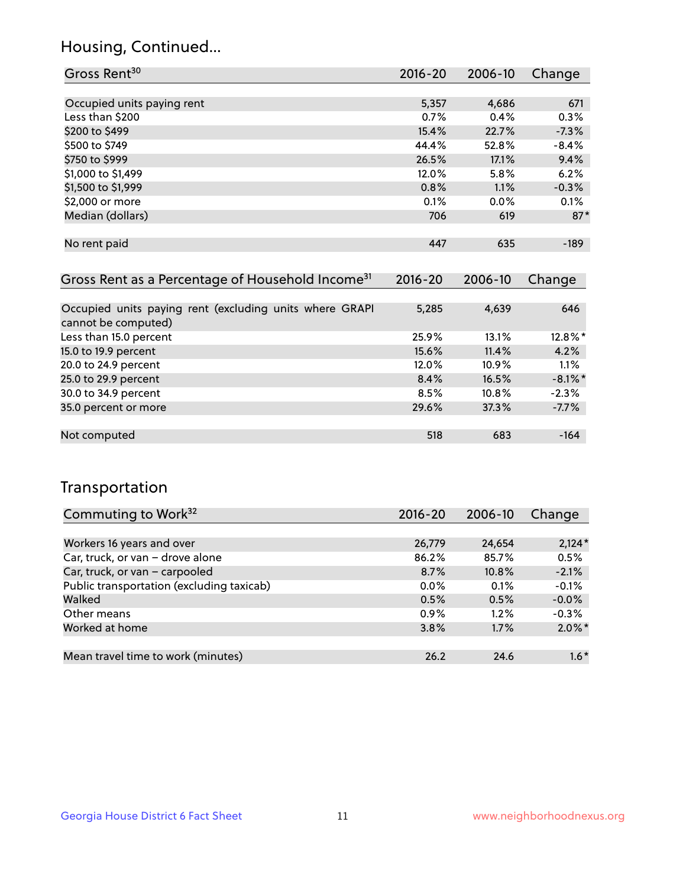## Housing, Continued...

| Gross Rent <sup>30</sup>   | 2016-20 | 2006-10 | Change  |
|----------------------------|---------|---------|---------|
|                            |         |         |         |
| Occupied units paying rent | 5,357   | 4,686   | 671     |
| Less than \$200            | 0.7%    | 0.4%    | 0.3%    |
| \$200 to \$499             | 15.4%   | 22.7%   | $-7.3%$ |
| \$500 to \$749             | 44.4%   | 52.8%   | $-8.4%$ |
| \$750 to \$999             | 26.5%   | 17.1%   | 9.4%    |
| \$1,000 to \$1,499         | 12.0%   | 5.8%    | 6.2%    |
| \$1,500 to \$1,999         | 0.8%    | 1.1%    | $-0.3%$ |
| \$2,000 or more            | 0.1%    | $0.0\%$ | 0.1%    |
| Median (dollars)           | 706     | 619     | $87*$   |
|                            |         |         |         |
| No rent paid               | 447     | 635     | $-189$  |
|                            |         |         |         |

| Gross Rent as a Percentage of Household Income <sup>31</sup>                   | $2016 - 20$ | 2006-10  | Change     |
|--------------------------------------------------------------------------------|-------------|----------|------------|
|                                                                                |             |          |            |
| Occupied units paying rent (excluding units where GRAPI<br>cannot be computed) | 5,285       | 4,639    | 646        |
| Less than 15.0 percent                                                         | 25.9%       | 13.1%    | 12.8%*     |
| 15.0 to 19.9 percent                                                           | 15.6%       | 11.4%    | 4.2%       |
| 20.0 to 24.9 percent                                                           | 12.0%       | $10.9\%$ | 1.1%       |
| 25.0 to 29.9 percent                                                           | 8.4%        | 16.5%    | $-8.1\%$ * |
| 30.0 to 34.9 percent                                                           | 8.5%        | 10.8%    | $-2.3%$    |
| 35.0 percent or more                                                           | 29.6%       | 37.3%    | $-7.7%$    |
|                                                                                |             |          |            |
| Not computed                                                                   | 518         | 683      | $-164$     |

## Transportation

| Commuting to Work <sup>32</sup>           | 2016-20 | 2006-10  | Change    |
|-------------------------------------------|---------|----------|-----------|
|                                           |         |          |           |
| Workers 16 years and over                 | 26,779  | 24,654   | $2,124*$  |
| Car, truck, or van - drove alone          | 86.2%   | 85.7%    | 0.5%      |
| Car, truck, or van - carpooled            | 8.7%    | $10.8\%$ | $-2.1%$   |
| Public transportation (excluding taxicab) | $0.0\%$ | 0.1%     | $-0.1%$   |
| Walked                                    | 0.5%    | 0.5%     | $-0.0%$   |
| Other means                               | $0.9\%$ | $1.2\%$  | $-0.3%$   |
| Worked at home                            | 3.8%    | 1.7%     | $2.0\%$ * |
|                                           |         |          |           |
| Mean travel time to work (minutes)        | 26.2    | 24.6     | $1.6*$    |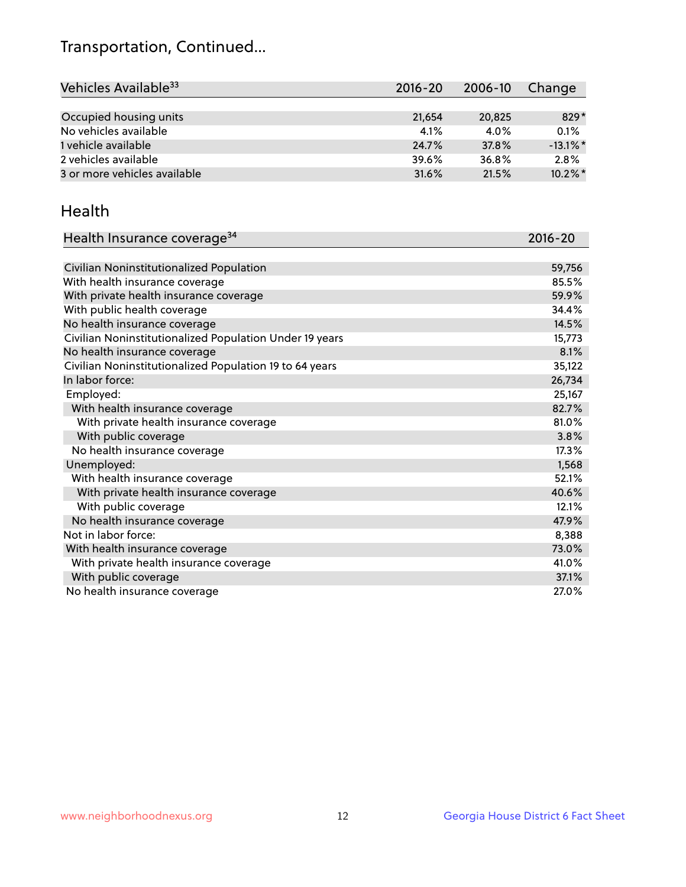## Transportation, Continued...

| Vehicles Available <sup>33</sup> | $2016 - 20$ | 2006-10 | Change      |
|----------------------------------|-------------|---------|-------------|
|                                  |             |         |             |
| Occupied housing units           | 21,654      | 20,825  | 829*        |
| No vehicles available            | 4.1%        | 4.0%    | 0.1%        |
| 1 vehicle available              | 24.7%       | 37.8%   | $-13.1\%$ * |
| 2 vehicles available             | 39.6%       | 36.8%   | 2.8%        |
| 3 or more vehicles available     | 31.6%       | 21.5%   | $10.2\%$ *  |

#### Health

| Health Insurance coverage <sup>34</sup>                 | 2016-20 |
|---------------------------------------------------------|---------|
|                                                         |         |
| Civilian Noninstitutionalized Population                | 59,756  |
| With health insurance coverage                          | 85.5%   |
| With private health insurance coverage                  | 59.9%   |
| With public health coverage                             | 34.4%   |
| No health insurance coverage                            | 14.5%   |
| Civilian Noninstitutionalized Population Under 19 years | 15,773  |
| No health insurance coverage                            | 8.1%    |
| Civilian Noninstitutionalized Population 19 to 64 years | 35,122  |
| In labor force:                                         | 26,734  |
| Employed:                                               | 25,167  |
| With health insurance coverage                          | 82.7%   |
| With private health insurance coverage                  | 81.0%   |
| With public coverage                                    | 3.8%    |
| No health insurance coverage                            | 17.3%   |
| Unemployed:                                             | 1,568   |
| With health insurance coverage                          | 52.1%   |
| With private health insurance coverage                  | 40.6%   |
| With public coverage                                    | 12.1%   |
| No health insurance coverage                            | 47.9%   |
| Not in labor force:                                     | 8,388   |
| With health insurance coverage                          | 73.0%   |
| With private health insurance coverage                  | 41.0%   |
| With public coverage                                    | 37.1%   |
| No health insurance coverage                            | 27.0%   |